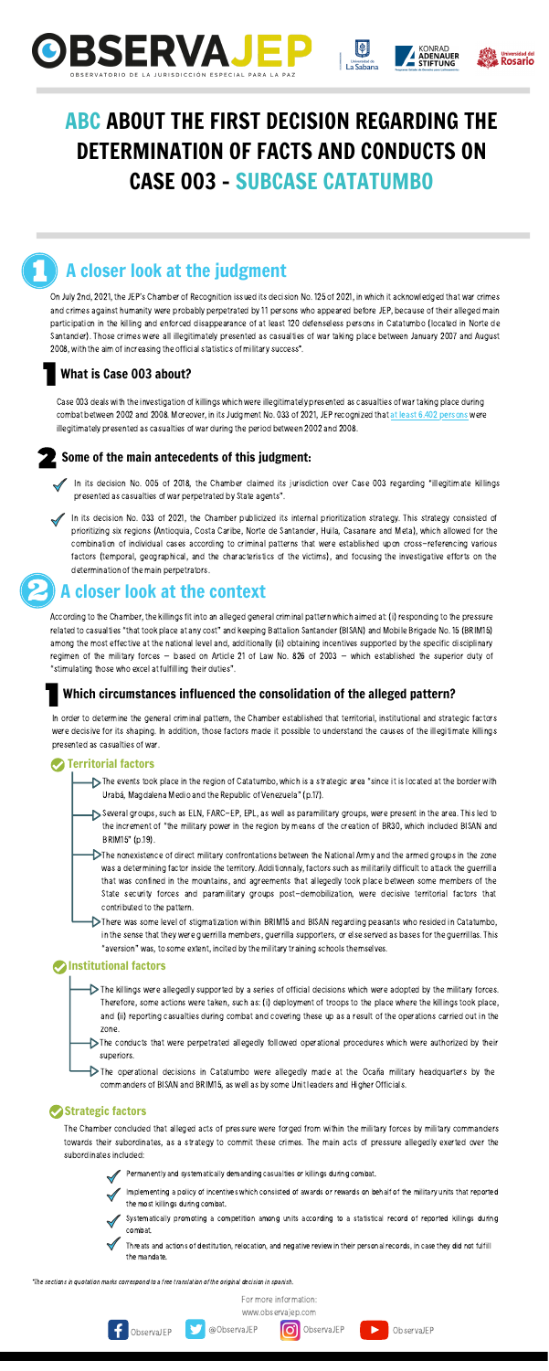





# ABC ABOUT THE FIRST DECISION REGARDING THE DETERMINATION OF FACTS AND CONDUCTS ON CASE 003 - SUBCASE CATATUMBO





For more information:

On July 2nd, 2021, the JEP's Chamber of Recognition issued its decision No. 125 of 2021, in which it acknowledged that war crimes and crimes against humanity were probably perpetrated by 11 persons who appeared before JEP, because of their alleged main participation in the killing and enforced disappearance of at least 120 defenseless persons in Catatumbo (located in Norte de Santander). Those crimes were all illegitimately presented as casualties of war taking place between January 2007 and August 2008, with the aim of increasing the official statistics of military success\*.

[www.observajep.com](http://observajep.com/index.php)







# A closer look at the judgment

#### What is Case 003 about?

#### Some of the main antecedents of this judgment:

Case 003 deals with the investigation of killings which were illegitimately presented as casualties of war taking place during combat between 2002 and 2008. Moreover, in its Judgment No. 033 of 2021, JEP recognized that at least 6.402 persons were illegitimately presented as casualties of war during the period between 2002 and 2008.

According to the Chamber, the killings fit into an alleged general criminal pattern which aimed at: (i) responding to the pressure related to casualties"that took place at any cost" and keeping Battalion Santander (BISAN) and Mobile Brigade No. 15 (BRIM15) among the most effective at the national level and, additionally (ii) obtaining incentives supported by the specific disciplinary regimen of the military forces – based on Article 21 of Law No. 826 of 2003 – which established the superior duty of "stimulating those who excel at fulfilling their duties".





- the increment of "the military power in the region by means of the creation of BR30, which included BISAN and BRIM15" (p.19).
- The nonexistence of direct military confrontations between the National Army and the armed groups in the zone was a determining factor inside the territory. Additionnaly, factors such as militarily difficult to attack the guerrilla that was confined in the mountains, and agreements that allegedly took place between some members of the State security forces and paramilitary groups post-demobilization, were decisive territorial factors that contributed to the pattern.
- There was some level of stigmatization within BRIM15 and BISAN regarding peasants who resided in Catatumbo, in the sense that they were guerrilla members, guerrilla supporters, or else served as bases for the guerrillas. This "aversion" was, to some extent, incited by the military training schools themselves.

#### **Manufactors**

In its decision No. 033 of 2021, the Chamber publicized its internal prioritization strategy. This strategy consisted of prioritizing six regions (Antioquia, Costa Caribe, Norte de Santander, Huila, Casanare and Meta), which allowed for the combination of individual cases according to criminal patterns that were established upon cross-referencing various factors (temporal, geographical, and the characteristics of the victims), and focusing the investigative efforts on the determination of the main perpetrators.

# A closer look at the context

#### Which circumstances influenced the consolidation of the alleged pattern?

The Chamber concluded that alleged acts of pressure were forged from within the military forces by military commanders towards their subordinates, as a strategy to commit these crimes. The main acts of pressure allegedly exerted over the subordinates included:



In order to determine the general criminal pattern, the Chamber established that territorial, institutional and strategic factors were decisive for its shaping. In addition, those factors made it possible to understand the causes of the illegitimate killings presented as casualties of war.

#### Territorial factors

The events took place in the region of Catatumbo, which is a strategic area "since it is located at the border with Urabá, Magdalena Medio and the Republic of Venezuela" (p.17).

Several groups, such as ELN, FARC-EP, EPL, as well as paramilitary groups, were present in the area. This led to

- The killings were allegedly supported by a series of official decisions which were adopted by the military forces. Therefore, some actions were taken, such as: (i) deployment of troops to the place where the killings took place, and (ii) reporting casualties during combat and covering these up as a result of the operations carried out in the zone.
- The conducts that were perpetrated allegedly followed operational procedures which were authorized by their superiors.
- The operational decisions in Catatumbo were allegedly made at the Ocaña military headquarters by the commanders of BISAN and BRIM15, as well as bysome Unit leaders and Higher Officials.

#### Strategic factors

Permanently and systematically demanding casualties or killings during combat.



Systematically promoting a competition among units according to a statistical record of reported killings during combat.

Threats and actions of destitution, relocation, and negative review in their personal records, in case they did not fulfill the mandate.

\*The sections in quotation marks correspond to a free translation of the original decision in spanish.

Implementing a policy of incentives which consisted of awards or rewards on behalf of the military units that reported the most killings during combat.

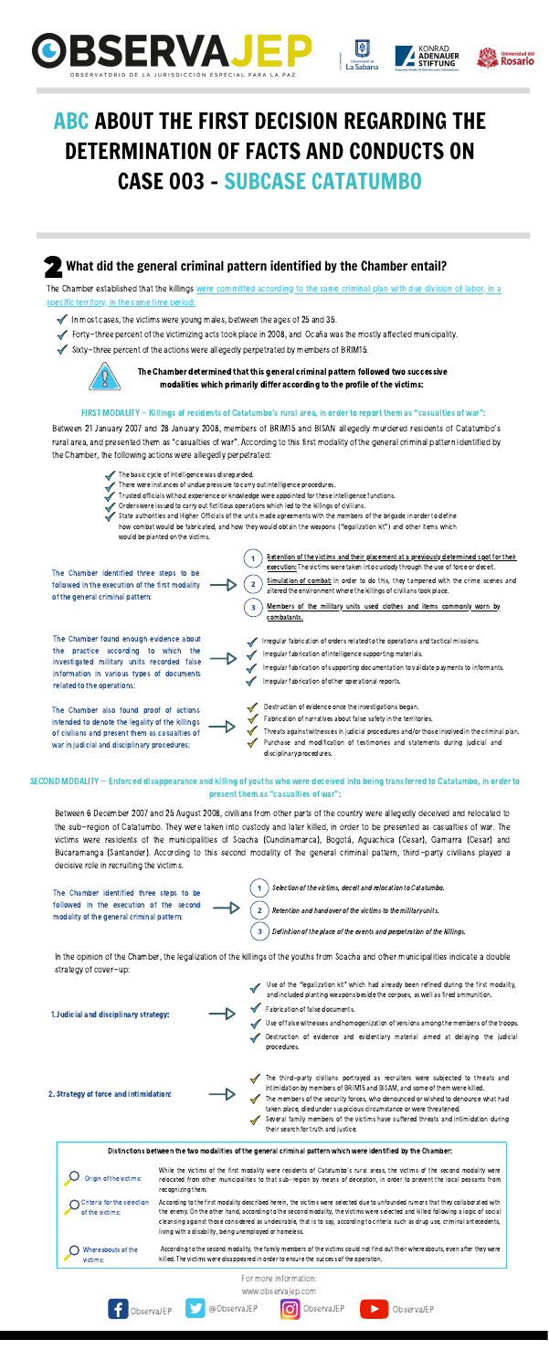Retention of the victims and their placement at a previously determined spot for their execution: The victims were taken into custody through the use of force or deceit.

Simulation of combat: In order to do this, they tampered with the crime scenes and altered the environment where the killings of civilians took place.

The Chamber determined that this general criminal pattern followed two successive modalities which primarily differ according to the profile of the victims:

#### FIRST MODALITY - Killings of residents of Catatumbo's rural area, in order to report them as "casualties of war":

Between 21 January 2007 and 28 January 2008, members of BRIM15 and BISAN allegedly murdered residents of Catatumbo's rural area, and presented them as"casualties of war". According to thisfirst modality of the general criminal pattern identified by the Chamber, the following actions were allegedly perpetrated:

 $\overline{\mathbf{3}}$ 

The basic cycle of intelligence was disregarded. There were instances of undue pressure to carry out intelligence procedures. Trusted officials without experience or knowledge were appointed for these intelligence functions. Orders were issued to carry out fictitious operations which led to the killings of civilians. State authorities and Higher Officials of the units made agreements with the members of the brigade in order to define how combat would be fabricated, and how they would obtain the weapons ("legalization kit") and other items which

- The Chamber identified three steps to be followed in the execution of the first modality of the general criminal pattern:
- The Chamber found enough evidence about the practice according to which the investigated military units recorded false information in various types of documents related to the operations:
- The Chamber also found proof of actions intended to denote the legality of the killings of civilians and present them as casualties of war in judicial and disciplinary procedures:

would be planted on the victims.

Use of the "legalization kit" which had already been refined during the first modality, and included planting weapons beside the corpses, as well as fired ammunition.

- Members of the military units used clothes and items commonly worn by combatants.
- Irregular fabrication of orders related to the operations and tactical missions.
- Irregular fabrication of intelligence supporting materials.
- Irregular fabrication of supporting documentation to validate payments to informants.
- Irregular fabrication of other operational reports.
	- Destruction of evidence once the investigations began.
	- Fabrication of narratives about false safety in the territories.
	- Purchase and modification of testimonies and statements during judicial and disciplinary procedures. Threats against witnessesin judicial procedures and/or those involved in the criminal plan.



- 2. Strategy of force and intimidation:
- The third-party civilians portrayed as recruiters were subjected to threats and intimidation by members of BRIM15 and BISAM, and some of them were killed.
- The members of the security forces, who denounced or wished to denounce what had taken place, died under suspicious circumstance or were threatened.
- Several family members of the victims have suffered threats and intimidation during their search for truth and justice.

Between 6 December 2007 and 25 August 2008, civilians from other parts of the country were allegedly deceived and relocated to

the sub-region of Catatumbo. They were taken into custody and later killed, in order to be presented as casualties of war. The victims were residents of the municipalities of Soacha (Cundinamarca), Bogotá, Aguachica (Cesar), Gamarra (Cesar) and Bucaramanga (Santander). According to this second modality of the general criminal pattern, third-party civilians played a decisive role in recruiting the victims.

1

 $\overline{\mathbf{2}}$ 

3

The Chamber identified three steps to be followed in the execution of the second modality of the general criminal pattern:

Selection of the victims, deceit and relocation to Catatumbo.

Retention and handover of the victims to the military units.

Definition of the place of the events and perpetration of the killings.

SECOND MODALITY – Enforced disappearance and killing of youths who were deceived into being transferred to Catatumbo, in order to present them as "casualties of war":

In the opinion of the Chamber, the legalization of the killings of the youths from Soacha and other municipalities indicate a double strategy of cover-up:

1.Judicial and disciplinary strategy:

Fabrication of false documents.

Use of false witnesses and homogenization of versions among the members of the troops.

Destruction of evidence and evidentiary material aimed at delaying the judicial procedures.







# ABC ABOUT THE FIRST DECISION REGARDING THE DETERMINATION OF FACTS AND CONDUCTS ON CASE 003 - SUBCASE CATATUMBO

#### What did the general criminal pattern identified by the Chamber entail?

The Chamber established that the killings were committed according to the same criminal plan with due division of labor, in a specific territory, in the same time period:

- In most cases, the victims were young males, between the ages of 25 and 35.
- Forty-three percent of the victimizing acts took place in 2008, and Ocaña was the mostly affected municipality.
- $\blacktriangledown$  Sixty-three percent of the actions were allegedly perpetrated by members of BRIM15.